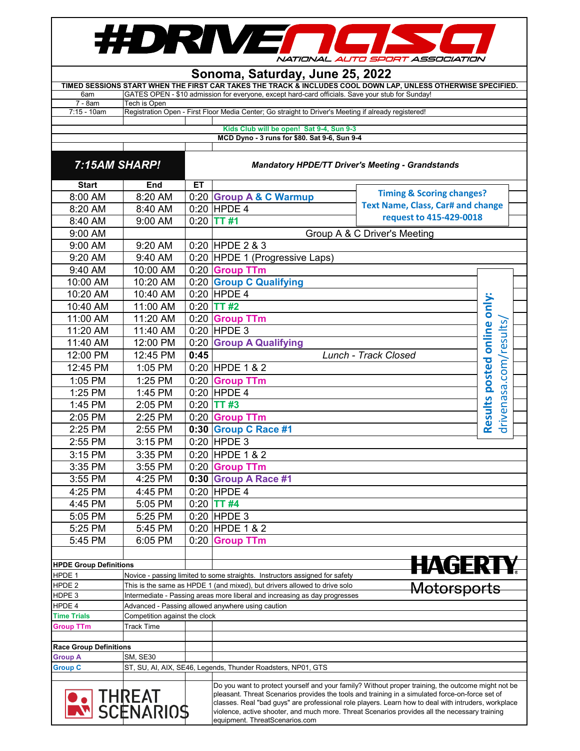

## **Sonoma, Saturday, June 25, 2022 TIMED SESSIONS START WHEN THE FIRST CAR TAKES THE TRACK & INCLUDES COOL DOWN LAP, UNLESS OTHERWISE SPECIFIED.**

| 6am                                                | GATES OPEN - \$10 admission for everyone, except hard-card officials. Save your stub for Sunday!     |  |  |  |  |  |  |
|----------------------------------------------------|------------------------------------------------------------------------------------------------------|--|--|--|--|--|--|
| ' - 8am                                            | Tech is Open                                                                                         |  |  |  |  |  |  |
| $7:15 - 10am$                                      | Registration Open - First Floor Media Center; Go straight to Driver's Meeting if already registered! |  |  |  |  |  |  |
|                                                    |                                                                                                      |  |  |  |  |  |  |
| Middle Olivia will be appeal. Oak 0, 4, Orio 0, 9. |                                                                                                      |  |  |  |  |  |  |

**Kids Club will be open! Sat 9-4, Sun 9-3 MCD Dyno - 3 runs for \$80. Sat 9-6, Sun 9-4**

 $\top$ 

 $\top$ 

 $\mathbf{I}$ 

| 7:15AM SHARP!                                                                                                                                                                                                                                                                                                                                                                                                                                                                 |                               | <b>Mandatory HPDE/TT Driver's Meeting - Grandstands</b> |                                                                             |                                          |                                  |  |
|-------------------------------------------------------------------------------------------------------------------------------------------------------------------------------------------------------------------------------------------------------------------------------------------------------------------------------------------------------------------------------------------------------------------------------------------------------------------------------|-------------------------------|---------------------------------------------------------|-----------------------------------------------------------------------------|------------------------------------------|----------------------------------|--|
| <b>Start</b>                                                                                                                                                                                                                                                                                                                                                                                                                                                                  | End                           | ET                                                      |                                                                             |                                          |                                  |  |
| 8:00 AM                                                                                                                                                                                                                                                                                                                                                                                                                                                                       | 8:20 AM                       |                                                         | 0:20 Group A & C Warmup                                                     | <b>Timing &amp; Scoring changes?</b>     |                                  |  |
| 8:20 AM                                                                                                                                                                                                                                                                                                                                                                                                                                                                       | 8:40 AM                       |                                                         | $0:20$ HPDE 4                                                               | <b>Text Name, Class, Car# and change</b> |                                  |  |
| 8:40 AM                                                                                                                                                                                                                                                                                                                                                                                                                                                                       | 9:00 AM                       |                                                         | $0:20$ TT #1                                                                | request to 415-429-0018                  |                                  |  |
| 9:00 AM                                                                                                                                                                                                                                                                                                                                                                                                                                                                       |                               |                                                         |                                                                             | Group A & C Driver's Meeting             |                                  |  |
| 9:00 AM                                                                                                                                                                                                                                                                                                                                                                                                                                                                       | 9:20 AM                       |                                                         | 0:20 HPDE 2 & 3                                                             |                                          |                                  |  |
| 9:20 AM                                                                                                                                                                                                                                                                                                                                                                                                                                                                       | 9:40 AM                       |                                                         | 0:20 HPDE 1 (Progressive Laps)                                              |                                          |                                  |  |
| 9:40 AM                                                                                                                                                                                                                                                                                                                                                                                                                                                                       | 10:00 AM                      |                                                         | 0:20 Group TTm                                                              |                                          |                                  |  |
| 10:00 AM                                                                                                                                                                                                                                                                                                                                                                                                                                                                      | 10:20 AM                      |                                                         | 0:20 Group C Qualifying                                                     |                                          |                                  |  |
| 10:20 AM                                                                                                                                                                                                                                                                                                                                                                                                                                                                      | 10:40 AM                      |                                                         | $0:20$ HPDE 4                                                               |                                          |                                  |  |
| 10:40 AM                                                                                                                                                                                                                                                                                                                                                                                                                                                                      | 11:00 AM                      |                                                         | $0:20$ TT #2                                                                |                                          |                                  |  |
| 11:00 AM                                                                                                                                                                                                                                                                                                                                                                                                                                                                      | 11:20 AM                      |                                                         | 0:20 Group TTm                                                              |                                          |                                  |  |
| 11:20 AM                                                                                                                                                                                                                                                                                                                                                                                                                                                                      | 11:40 AM                      |                                                         | $0:20$ HPDE 3                                                               |                                          | online only:                     |  |
| 11:40 AM                                                                                                                                                                                                                                                                                                                                                                                                                                                                      | 12:00 PM                      |                                                         | 0:20 Group A Qualifying                                                     |                                          |                                  |  |
| 12:00 PM                                                                                                                                                                                                                                                                                                                                                                                                                                                                      | 12:45 PM                      | 0:45                                                    |                                                                             | Lunch - Track Closed                     |                                  |  |
| 12:45 PM                                                                                                                                                                                                                                                                                                                                                                                                                                                                      | 1:05 PM                       |                                                         | 0:20 HPDE 1 & 2                                                             |                                          |                                  |  |
| 1:05 PM                                                                                                                                                                                                                                                                                                                                                                                                                                                                       | 1:25 PM                       |                                                         | 0:20 Group TTm                                                              |                                          | drivenasa.com/results,<br>posted |  |
| 1:25 PM                                                                                                                                                                                                                                                                                                                                                                                                                                                                       | 1:45 PM                       |                                                         | $0:20$ HPDE 4                                                               |                                          |                                  |  |
| 1:45 PM                                                                                                                                                                                                                                                                                                                                                                                                                                                                       | 2:05 PM                       |                                                         | $0:20$ TT #3                                                                |                                          |                                  |  |
| 2:05 PM                                                                                                                                                                                                                                                                                                                                                                                                                                                                       | 2:25 PM                       |                                                         | 0:20 Group TTm                                                              |                                          | <b>Results</b>                   |  |
| 2:25 PM                                                                                                                                                                                                                                                                                                                                                                                                                                                                       | 2:55 PM                       |                                                         | 0:30 Group C Race #1                                                        |                                          |                                  |  |
| 2:55 PM                                                                                                                                                                                                                                                                                                                                                                                                                                                                       | 3:15 PM                       |                                                         | $0:20$ HPDE 3                                                               |                                          |                                  |  |
| 3:15 PM                                                                                                                                                                                                                                                                                                                                                                                                                                                                       | $3:35$ PM                     |                                                         | 0:20 HPDE 1 & 2                                                             |                                          |                                  |  |
| 3:35 PM                                                                                                                                                                                                                                                                                                                                                                                                                                                                       | 3:55 PM                       |                                                         | 0:20 Group TTm                                                              |                                          |                                  |  |
| 3:55 PM                                                                                                                                                                                                                                                                                                                                                                                                                                                                       | 4:25 PM                       |                                                         | 0:30 Group A Race #1                                                        |                                          |                                  |  |
| 4:25 PM                                                                                                                                                                                                                                                                                                                                                                                                                                                                       | 4:45 PM                       |                                                         | $0:20$ HPDE 4                                                               |                                          |                                  |  |
| 4:45 PM                                                                                                                                                                                                                                                                                                                                                                                                                                                                       | 5:05 PM                       |                                                         | $0:20$ TT #4                                                                |                                          |                                  |  |
| 5:05 PM                                                                                                                                                                                                                                                                                                                                                                                                                                                                       | 5:25 PM                       |                                                         | $0:20$ HPDE 3                                                               |                                          |                                  |  |
| 5:25 PM                                                                                                                                                                                                                                                                                                                                                                                                                                                                       | 5:45 PM                       |                                                         | $0:20$ HPDE 1 & 2                                                           |                                          |                                  |  |
| 5:45 PM                                                                                                                                                                                                                                                                                                                                                                                                                                                                       | 6:05 PM                       |                                                         | 0:20 Group TTm                                                              |                                          |                                  |  |
|                                                                                                                                                                                                                                                                                                                                                                                                                                                                               |                               |                                                         |                                                                             |                                          |                                  |  |
| <b>HPDE Group Definitions</b>                                                                                                                                                                                                                                                                                                                                                                                                                                                 |                               |                                                         |                                                                             | HAGERTY                                  |                                  |  |
| HPDE 1                                                                                                                                                                                                                                                                                                                                                                                                                                                                        |                               |                                                         | Novice - passing limited to some straights. Instructors assigned for safety |                                          |                                  |  |
| HPDE 2                                                                                                                                                                                                                                                                                                                                                                                                                                                                        |                               |                                                         | This is the same as HPDE 1 (and mixed), but drivers allowed to drive solo   | Motorsports                              |                                  |  |
| HDPE 3                                                                                                                                                                                                                                                                                                                                                                                                                                                                        |                               |                                                         | Intermediate - Passing areas more liberal and increasing as day progresses  |                                          |                                  |  |
| HPDE 4<br><b>Time Trials</b>                                                                                                                                                                                                                                                                                                                                                                                                                                                  | Competition against the clock |                                                         | Advanced - Passing allowed anywhere using caution                           |                                          |                                  |  |
| <b>Group TTm</b>                                                                                                                                                                                                                                                                                                                                                                                                                                                              | <b>Track Time</b>             |                                                         |                                                                             |                                          |                                  |  |
|                                                                                                                                                                                                                                                                                                                                                                                                                                                                               |                               |                                                         |                                                                             |                                          |                                  |  |
| <b>Race Group Definitions</b>                                                                                                                                                                                                                                                                                                                                                                                                                                                 |                               |                                                         |                                                                             |                                          |                                  |  |
| Group A                                                                                                                                                                                                                                                                                                                                                                                                                                                                       | SM, SE30                      |                                                         |                                                                             |                                          |                                  |  |
| <b>Group C</b>                                                                                                                                                                                                                                                                                                                                                                                                                                                                |                               |                                                         | ST, SU, AI, AIX, SE46, Legends, Thunder Roadsters, NP01, GTS                |                                          |                                  |  |
| Do you want to protect yourself and your family? Without proper training, the outcome might not be<br><b>THREAT</b><br>SCENARIOS<br>pleasant. Threat Scenarios provides the tools and training in a simulated force-on-force set of<br>classes. Real "bad guys" are professional role players. Learn how to deal with intruders, workplace<br>violence, active shooter, and much more. Threat Scenarios provides all the necessary training<br>equipment. ThreatScenarios.com |                               |                                                         |                                                                             |                                          |                                  |  |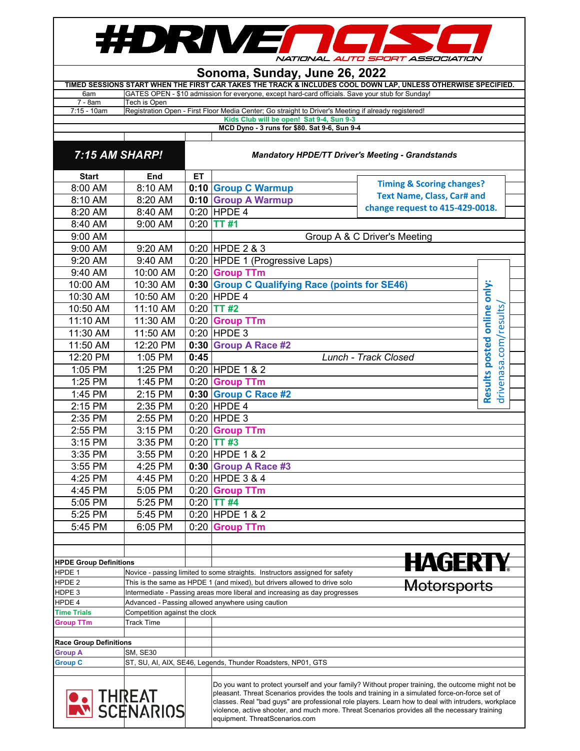## #DRIVENGE NATIONAL AUTO SPORT ASSOCIATION

|                                                                                                               | Sonoma, Sunday, June 26, 2022                                                                                    |           |                                                                                          |                                   |                                                                                                                                                                                                                                                                                                                                                                                                               |                             |  |  |  |  |  |  |
|---------------------------------------------------------------------------------------------------------------|------------------------------------------------------------------------------------------------------------------|-----------|------------------------------------------------------------------------------------------|-----------------------------------|---------------------------------------------------------------------------------------------------------------------------------------------------------------------------------------------------------------------------------------------------------------------------------------------------------------------------------------------------------------------------------------------------------------|-----------------------------|--|--|--|--|--|--|
| TIMED SESSIONS START WHEN THE FIRST CAR TAKES THE TRACK & INCLUDES COOL DOWN LAP, UNLESS OTHERWISE SPECIFIED. |                                                                                                                  |           |                                                                                          |                                   |                                                                                                                                                                                                                                                                                                                                                                                                               |                             |  |  |  |  |  |  |
| 6am<br>7 - 8am                                                                                                | GATES OPEN - \$10 admission for everyone, except hard-card officials. Save your stub for Sunday!<br>Tech is Open |           |                                                                                          |                                   |                                                                                                                                                                                                                                                                                                                                                                                                               |                             |  |  |  |  |  |  |
| $7:15 - 10am$                                                                                                 | Registration Open - First Floor Media Center; Go straight to Driver's Meeting if already registered!             |           |                                                                                          |                                   |                                                                                                                                                                                                                                                                                                                                                                                                               |                             |  |  |  |  |  |  |
|                                                                                                               |                                                                                                                  |           | Kids Club will be open! Sat 9-4, Sun 9-3<br>MCD Dyno - 3 runs for \$80. Sat 9-6, Sun 9-4 |                                   |                                                                                                                                                                                                                                                                                                                                                                                                               |                             |  |  |  |  |  |  |
|                                                                                                               |                                                                                                                  |           |                                                                                          |                                   |                                                                                                                                                                                                                                                                                                                                                                                                               |                             |  |  |  |  |  |  |
| 7:15 AM SHARP!                                                                                                |                                                                                                                  |           | <b>Mandatory HPDE/TT Driver's Meeting - Grandstands</b>                                  |                                   |                                                                                                                                                                                                                                                                                                                                                                                                               |                             |  |  |  |  |  |  |
| <b>Start</b>                                                                                                  | End                                                                                                              | <b>ET</b> |                                                                                          |                                   |                                                                                                                                                                                                                                                                                                                                                                                                               |                             |  |  |  |  |  |  |
| 8:00 AM                                                                                                       | 8:10 AM                                                                                                          |           | 0:10 Group C Warmup                                                                      |                                   | <b>Timing &amp; Scoring changes?</b>                                                                                                                                                                                                                                                                                                                                                                          |                             |  |  |  |  |  |  |
| 8:10 AM                                                                                                       | 8:20 AM                                                                                                          |           | 0:10 Group A Warmup                                                                      | <b>Text Name, Class, Car# and</b> |                                                                                                                                                                                                                                                                                                                                                                                                               |                             |  |  |  |  |  |  |
| 8:20 AM                                                                                                       | 8:40 AM                                                                                                          |           | $0:20$ HPDE 4                                                                            |                                   | change request to 415-429-0018.                                                                                                                                                                                                                                                                                                                                                                               |                             |  |  |  |  |  |  |
| 8:40 AM                                                                                                       | 9:00 AM                                                                                                          | 0:20      | <b>TT#1</b>                                                                              |                                   |                                                                                                                                                                                                                                                                                                                                                                                                               |                             |  |  |  |  |  |  |
| 9:00 AM                                                                                                       |                                                                                                                  |           |                                                                                          |                                   | Group A & C Driver's Meeting                                                                                                                                                                                                                                                                                                                                                                                  |                             |  |  |  |  |  |  |
| 9:00 AM                                                                                                       | 9:20 AM                                                                                                          |           | 0:20 HPDE 2 & 3                                                                          |                                   |                                                                                                                                                                                                                                                                                                                                                                                                               |                             |  |  |  |  |  |  |
| 9:20 AM                                                                                                       | 9:40 AM                                                                                                          |           | 0:20 HPDE 1 (Progressive Laps)                                                           |                                   |                                                                                                                                                                                                                                                                                                                                                                                                               |                             |  |  |  |  |  |  |
| 9:40 AM                                                                                                       | 10:00 AM                                                                                                         |           | 0:20 Group TTm                                                                           |                                   |                                                                                                                                                                                                                                                                                                                                                                                                               |                             |  |  |  |  |  |  |
| 10:00 AM                                                                                                      | 10:30 AM                                                                                                         |           | 0:30 Group C Qualifying Race (points for SE46)                                           |                                   |                                                                                                                                                                                                                                                                                                                                                                                                               |                             |  |  |  |  |  |  |
| 10:30 AM                                                                                                      | 10:50 AM                                                                                                         |           | $0:20$ HPDE 4                                                                            |                                   |                                                                                                                                                                                                                                                                                                                                                                                                               | Results posted online only: |  |  |  |  |  |  |
| 10:50 AM                                                                                                      | 11:10 AM                                                                                                         | 0:20      | <b>TT#2</b>                                                                              |                                   |                                                                                                                                                                                                                                                                                                                                                                                                               |                             |  |  |  |  |  |  |
| 11:10 AM                                                                                                      | 11:30 AM                                                                                                         | 0:20      | <b>Group TTm</b>                                                                         |                                   |                                                                                                                                                                                                                                                                                                                                                                                                               |                             |  |  |  |  |  |  |
| 11:30 AM                                                                                                      | 11:50 AM                                                                                                         |           | $0:20$ HPDE 3                                                                            |                                   |                                                                                                                                                                                                                                                                                                                                                                                                               | drivenasa.com/results,      |  |  |  |  |  |  |
| 11:50 AM                                                                                                      | 12:20 PM                                                                                                         | 0:30      | <b>Group A Race #2</b>                                                                   |                                   |                                                                                                                                                                                                                                                                                                                                                                                                               |                             |  |  |  |  |  |  |
| 12:20 PM                                                                                                      | 1:05 PM                                                                                                          | 0:45      |                                                                                          |                                   | Lunch - Track Closed                                                                                                                                                                                                                                                                                                                                                                                          |                             |  |  |  |  |  |  |
| 1:05 PM                                                                                                       | 1:25 PM                                                                                                          |           | 0:20 HPDE 1 & 2                                                                          |                                   |                                                                                                                                                                                                                                                                                                                                                                                                               |                             |  |  |  |  |  |  |
| 1:25 PM                                                                                                       | 1:45 PM                                                                                                          | 0:20      | <b>Group TTm</b>                                                                         |                                   |                                                                                                                                                                                                                                                                                                                                                                                                               |                             |  |  |  |  |  |  |
| 1:45 PM                                                                                                       | 2:15 PM                                                                                                          |           | 0:30 Group C Race #2                                                                     |                                   |                                                                                                                                                                                                                                                                                                                                                                                                               |                             |  |  |  |  |  |  |
| 2:15 PM                                                                                                       | 2:35 PM                                                                                                          |           | $0:20$ HPDE 4                                                                            |                                   |                                                                                                                                                                                                                                                                                                                                                                                                               |                             |  |  |  |  |  |  |
| 2:35 PM                                                                                                       | 2:55 PM                                                                                                          |           | $0:20$ HPDE 3                                                                            |                                   |                                                                                                                                                                                                                                                                                                                                                                                                               |                             |  |  |  |  |  |  |
| 2:55 PM                                                                                                       | 3:15 PM                                                                                                          | 0:20      | <b>Group TTm</b>                                                                         |                                   |                                                                                                                                                                                                                                                                                                                                                                                                               |                             |  |  |  |  |  |  |
| 3:15 PM                                                                                                       | 3:35 PM                                                                                                          | 0:20      | <b>TT#3</b>                                                                              |                                   |                                                                                                                                                                                                                                                                                                                                                                                                               |                             |  |  |  |  |  |  |
| 3:35 PM                                                                                                       | 3:55 PM                                                                                                          |           | 0:20 HPDE 1 & 2                                                                          |                                   |                                                                                                                                                                                                                                                                                                                                                                                                               |                             |  |  |  |  |  |  |
| 3:55 PM                                                                                                       | 4:25 PM                                                                                                          |           | 0:30 Group A Race #3                                                                     |                                   |                                                                                                                                                                                                                                                                                                                                                                                                               |                             |  |  |  |  |  |  |
| 4:25 PM                                                                                                       | 4:45 PM                                                                                                          |           | 0:20 HPDE 3 & 4                                                                          |                                   |                                                                                                                                                                                                                                                                                                                                                                                                               |                             |  |  |  |  |  |  |
| 4:45 PM                                                                                                       | 5:05 PM                                                                                                          |           | 0:20 Group TTm                                                                           |                                   |                                                                                                                                                                                                                                                                                                                                                                                                               |                             |  |  |  |  |  |  |
| 5:05 PM                                                                                                       | 5:25 PM                                                                                                          | 0:20      | <b>TT#4</b>                                                                              |                                   |                                                                                                                                                                                                                                                                                                                                                                                                               |                             |  |  |  |  |  |  |
| 5:25 PM                                                                                                       | 5:45 PM                                                                                                          |           | 0:20 HPDE 1 & 2                                                                          |                                   |                                                                                                                                                                                                                                                                                                                                                                                                               |                             |  |  |  |  |  |  |
| 5:45 PM                                                                                                       | 6:05 PM                                                                                                          | 0:20      | <b>Group TTm</b>                                                                         |                                   |                                                                                                                                                                                                                                                                                                                                                                                                               |                             |  |  |  |  |  |  |
|                                                                                                               |                                                                                                                  |           |                                                                                          |                                   |                                                                                                                                                                                                                                                                                                                                                                                                               |                             |  |  |  |  |  |  |
|                                                                                                               |                                                                                                                  |           |                                                                                          |                                   |                                                                                                                                                                                                                                                                                                                                                                                                               |                             |  |  |  |  |  |  |
| <b>HPDE Group Definitions</b>                                                                                 |                                                                                                                  |           |                                                                                          |                                   | HAGERIY                                                                                                                                                                                                                                                                                                                                                                                                       |                             |  |  |  |  |  |  |
| HPDE 1                                                                                                        |                                                                                                                  |           | Novice - passing limited to some straights. Instructors assigned for safety              |                                   |                                                                                                                                                                                                                                                                                                                                                                                                               |                             |  |  |  |  |  |  |
| HPDE <sub>2</sub>                                                                                             |                                                                                                                  |           | This is the same as HPDE 1 (and mixed), but drivers allowed to drive solo                |                                   | <del>Motorsports</del>                                                                                                                                                                                                                                                                                                                                                                                        |                             |  |  |  |  |  |  |
| HDPE 3                                                                                                        |                                                                                                                  |           | Intermediate - Passing areas more liberal and increasing as day progresses               |                                   |                                                                                                                                                                                                                                                                                                                                                                                                               |                             |  |  |  |  |  |  |
| HPDE 4<br><b>Time Trials</b>                                                                                  | Competition against the clock                                                                                    |           | Advanced - Passing allowed anywhere using caution                                        |                                   |                                                                                                                                                                                                                                                                                                                                                                                                               |                             |  |  |  |  |  |  |
| <b>Group TTm</b>                                                                                              | <b>Track Time</b>                                                                                                |           |                                                                                          |                                   |                                                                                                                                                                                                                                                                                                                                                                                                               |                             |  |  |  |  |  |  |
|                                                                                                               |                                                                                                                  |           |                                                                                          |                                   |                                                                                                                                                                                                                                                                                                                                                                                                               |                             |  |  |  |  |  |  |
| <b>Race Group Definitions</b>                                                                                 |                                                                                                                  |           |                                                                                          |                                   |                                                                                                                                                                                                                                                                                                                                                                                                               |                             |  |  |  |  |  |  |
| <b>Group A</b>                                                                                                | SM, SE30                                                                                                         |           |                                                                                          |                                   |                                                                                                                                                                                                                                                                                                                                                                                                               |                             |  |  |  |  |  |  |
| <b>Group C</b>                                                                                                |                                                                                                                  |           | ST, SU, AI, AIX, SE46, Legends, Thunder Roadsters, NP01, GTS                             |                                   |                                                                                                                                                                                                                                                                                                                                                                                                               |                             |  |  |  |  |  |  |
|                                                                                                               | <mark>∍</mark> THREAT<br><u>™</u> SCENARIOS                                                                      |           | equipment. ThreatScenarios.com                                                           |                                   | Do you want to protect yourself and your family? Without proper training, the outcome might not be<br>pleasant. Threat Scenarios provides the tools and training in a simulated force-on-force set of<br>classes. Real "bad guys" are professional role players. Learn how to deal with intruders, workplace<br>violence, active shooter, and much more. Threat Scenarios provides all the necessary training |                             |  |  |  |  |  |  |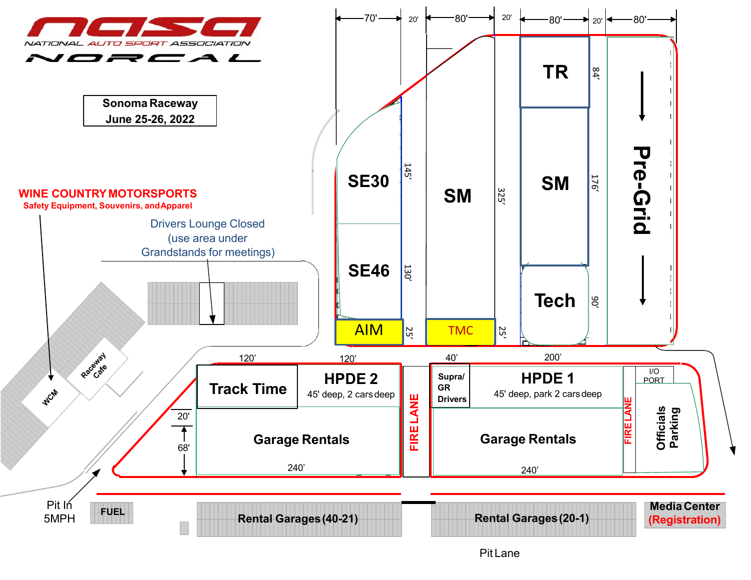